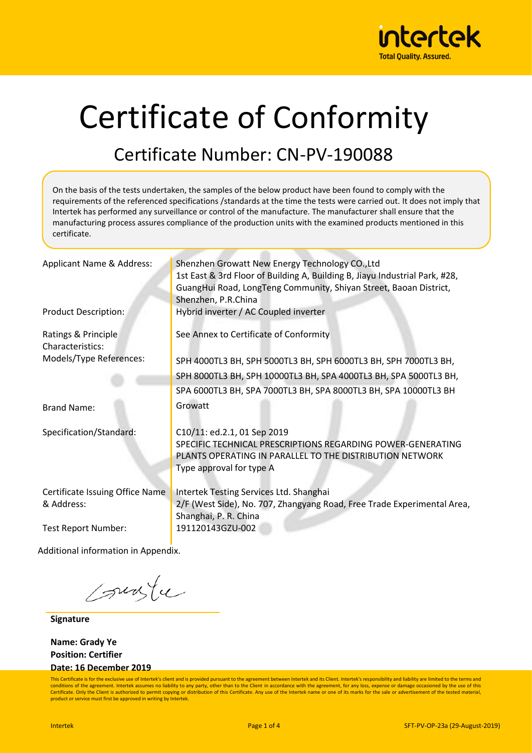

# Certificate of Conformity

### Certificate Number: CN-PV-190088

On the basis of the tests undertaken, the samples of the below product have been found to comply with the requirements of the referenced specifications /standards at the time the tests were carried out. It does not imply that Intertek has performed any surveillance or control of the manufacture. The manufacturer shall ensure that the manufacturing process assures compliance of the production units with the examined products mentioned in this certificate.

| Applicant Name & Address:                                            | Shenzhen Growatt New Energy Technology CO., Ltd<br>1st East & 3rd Floor of Building A, Building B, Jiayu Industrial Park, #28,<br>GuangHui Road, LongTeng Community, Shiyan Street, Baoan District,<br>Shenzhen, P.R.China |
|----------------------------------------------------------------------|----------------------------------------------------------------------------------------------------------------------------------------------------------------------------------------------------------------------------|
| <b>Product Description:</b>                                          | Hybrid inverter / AC Coupled inverter                                                                                                                                                                                      |
| Ratings & Principle<br>Characteristics:                              | See Annex to Certificate of Conformity                                                                                                                                                                                     |
| Models/Type References:                                              | SPH 4000TL3 BH, SPH 5000TL3 BH, SPH 6000TL3 BH, SPH 7000TL3 BH,<br>SPH 8000TL3 BH, SPH 10000TL3 BH, SPA 4000TL3 BH, SPA 5000TL3 BH,<br>SPA 6000TL3 BH, SPA 7000TL3 BH, SPA 8000TL3 BH, SPA 10000TL3 BH                     |
| <b>Brand Name:</b>                                                   | Growatt                                                                                                                                                                                                                    |
| Specification/Standard:                                              | C10/11: ed.2.1, 01 Sep 2019<br>SPECIFIC TECHNICAL PRESCRIPTIONS REGARDING POWER-GENERATING<br>PLANTS OPERATING IN PARALLEL TO THE DISTRIBUTION NETWORK<br>Type approval for type A                                         |
| Certificate Issuing Office Name<br>& Address:<br>Test Report Number: | Intertek Testing Services Ltd. Shanghai<br>2/F (West Side), No. 707, Zhangyang Road, Free Trade Experimental Area,<br>Shanghai, P. R. China<br>191120143GZU-002                                                            |
|                                                                      |                                                                                                                                                                                                                            |

Additional information in Appendix.

surfu

**Signature**

**Name: Grady Ye Position: Certifier Date: 16 December 2019**

This Certificate is for the exclusive use of Intertek's client and is provided pursuant to the agreement between Intertek and its Client. Intertek's responsibility and liability are limited to the terms and conditions of the agreement. Intertek assumes no liability to any party, other than to the Client in accordance with the agreement, for any loss, expense or damage occasioned by the use of this Certificate. Only the Client is authorized to permit copying or distribution of this Certificate. Any use of the Intertek name or one of its marks for the sale or advertisement of the tested material product or service must first be approved in writing by Intertek.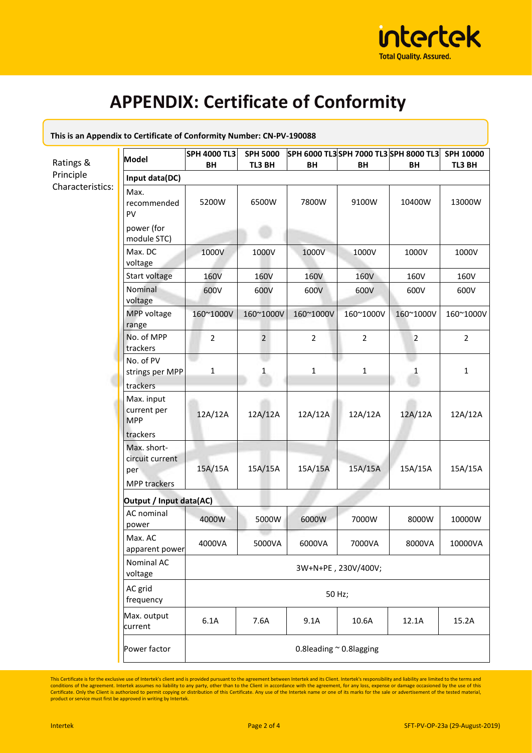

## **APPENDIX: Certificate of Conformity**

| This is an Appendix to Certificate of Conformity Number: CN-PV-190088 |                                                              |                              |                           |                                              |                     |                |                            |  |  |
|-----------------------------------------------------------------------|--------------------------------------------------------------|------------------------------|---------------------------|----------------------------------------------|---------------------|----------------|----------------------------|--|--|
| Ratings &                                                             | <b>Model</b>                                                 | <b>SPH 4000 TL3</b><br>BH    | <b>SPH 5000</b><br>TL3 BH | SPH 6000 TL3 SPH 7000 TL3 SPH 8000 TL3<br>BH | BH                  | BH             | <b>SPH 10000</b><br>TL3 BH |  |  |
| Principle                                                             | Input data(DC)                                               |                              |                           |                                              |                     |                |                            |  |  |
| Characteristics:                                                      | Max.<br>recommended<br>PV<br>power (for                      | 5200W                        | 6500W                     | 7800W                                        | 9100W               | 10400W         | 13000W                     |  |  |
|                                                                       | module STC)<br>Max. DC                                       | 1000V                        | 1000V                     | 1000V                                        | 1000V               | 1000V          | 1000V                      |  |  |
|                                                                       | voltage                                                      |                              |                           |                                              |                     |                |                            |  |  |
|                                                                       | Start voltage<br>Nominal<br>voltage                          | <b>160V</b><br>600V          | <b>160V</b><br>600V       | 160V<br>600V                                 | <b>160V</b><br>600V | 160V<br>600V   | 160V<br>600V               |  |  |
|                                                                       | MPP voltage<br>range                                         | 160~1000V                    | 160~1000V                 | 160~1000V                                    | 160~1000V           | 160~1000V      | 160~1000V                  |  |  |
|                                                                       | No. of MPP<br>trackers                                       | $\overline{2}$               | $\overline{2}$            | $\overline{2}$                               | $\overline{2}$      | $\overline{2}$ | $\overline{2}$             |  |  |
|                                                                       | No. of PV<br>strings per MPP<br>trackers                     | 1                            | 1                         | $\mathbf{1}$                                 | $1\,$               | 1              | $\mathbf{1}$               |  |  |
|                                                                       | Max. input<br>current per<br><b>MPP</b><br>trackers          | 12A/12A                      | 12A/12A                   | 12A/12A                                      | 12A/12A             | 12A/12A        | 12A/12A                    |  |  |
|                                                                       | Max. short-<br>circuit current<br>per<br><b>MPP trackers</b> | 15A/15A                      | 15A/15A                   | 15A/15A                                      | 15A/15A             | 15A/15A        | 15A/15A                    |  |  |
|                                                                       | Output / Input data(AC)                                      |                              |                           |                                              |                     |                |                            |  |  |
|                                                                       | AC nominal<br>power                                          | 4000W                        | 5000W                     | 6000W                                        | 7000W               | 8000W          | 10000W                     |  |  |
|                                                                       | Max. AC<br>apparent power                                    | 4000VA                       | 5000VA                    | 6000VA                                       | 7000VA              | 8000VA         | 10000VA                    |  |  |
|                                                                       | Nominal AC<br>voltage                                        | 3W+N+PE, 230V/400V;          |                           |                                              |                     |                |                            |  |  |
|                                                                       | AC grid<br>frequency                                         | 50 Hz;                       |                           |                                              |                     |                |                            |  |  |
|                                                                       | Max. output<br>current                                       | 6.1A                         | 7.6A                      | 9.1A                                         | 10.6A               | 12.1A          | 15.2A                      |  |  |
|                                                                       | Power factor                                                 | 0.8leading $\sim$ 0.8lagging |                           |                                              |                     |                |                            |  |  |

This Certificate is for the exclusive use of Intertek's client and is provided pursuant to the agreement between Intertek and its Client. Intertek's responsibility and liability are limited to the terms and conditions of t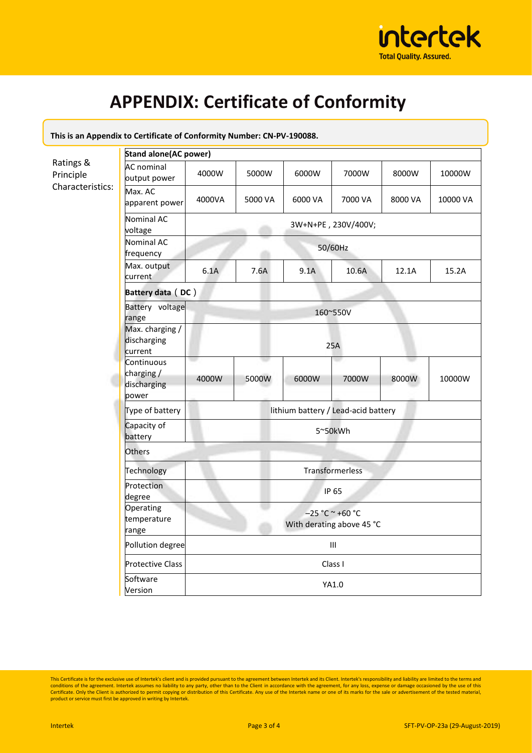

# **APPENDIX: Certificate of Conformity**

| This is an Appendix to Certificate of Conformity Number: CN-PV-190088. |                                                 |                                                |         |         |         |         |          |  |  |
|------------------------------------------------------------------------|-------------------------------------------------|------------------------------------------------|---------|---------|---------|---------|----------|--|--|
|                                                                        | <b>Stand alone (AC power)</b>                   |                                                |         |         |         |         |          |  |  |
| Ratings &<br>Principle<br>Characteristics:                             | <b>AC</b> nominal<br>output power               | 4000W                                          | 5000W   | 6000W   | 7000W   | 8000W   | 10000W   |  |  |
|                                                                        | Max. AC<br>apparent power                       | 4000VA                                         | 5000 VA | 6000 VA | 7000 VA | 8000 VA | 10000 VA |  |  |
|                                                                        | Nominal AC<br>voltage                           | 3W+N+PE, 230V/400V;                            |         |         |         |         |          |  |  |
|                                                                        | Nominal AC<br>frequency                         | 50/60Hz                                        |         |         |         |         |          |  |  |
|                                                                        | Max. output<br>current                          | 6.1A                                           | 7.6A    | 9.1A    | 10.6A   | 12.1A   | 15.2A    |  |  |
|                                                                        | Battery data (DC)                               |                                                |         |         |         |         |          |  |  |
|                                                                        | Battery voltage<br>range                        | 160~550V                                       |         |         |         |         |          |  |  |
|                                                                        | Max. charging /<br>discharging<br>current       | 25A                                            |         |         |         |         |          |  |  |
|                                                                        | Continuous<br>charging/<br>discharging<br>power | 4000W                                          | 5000W   | 6000W   | 7000W   | 8000W   | 10000W   |  |  |
|                                                                        | Type of battery                                 | lithium battery / Lead-acid battery            |         |         |         |         |          |  |  |
|                                                                        | Capacity of<br>battery                          | 5~50kWh                                        |         |         |         |         |          |  |  |
|                                                                        | <b>Others</b>                                   |                                                |         |         |         |         |          |  |  |
|                                                                        | Technology                                      | Transformerless                                |         |         |         |         |          |  |  |
|                                                                        | Protection<br>degree                            | <b>IP 65</b>                                   |         |         |         |         |          |  |  |
|                                                                        | Operating<br>temperature<br>range               | $-25 °C ~ +60 °C$<br>With derating above 45 °C |         |         |         |         |          |  |  |
|                                                                        | Pollution degree                                | III                                            |         |         |         |         |          |  |  |
|                                                                        | <b>Protective Class</b>                         | Class I                                        |         |         |         |         |          |  |  |
|                                                                        | Software<br>Version                             | YA1.0                                          |         |         |         |         |          |  |  |

This Certificate is for the exclusive use of Intertek's client and is provided pursuant to the agreement between Intertek and its Client. Intertek's responsibility and liability are limited to the terms and conditions of t